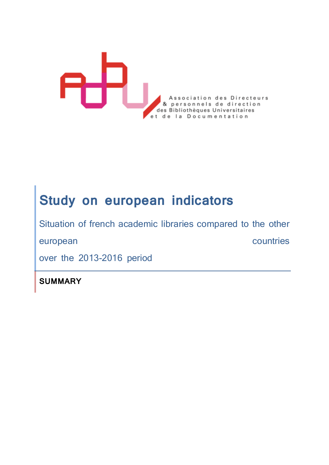

## **Study on european indicators**

Situation of french academic libraries compared to the other

european countries

over the 2013-2016 period

**SUMMARY**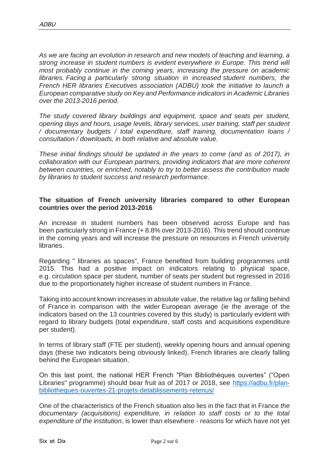*As we are facing an evolution in research and new models of teaching and learning, a strong increase in student numbers is evident everywhere in Europe. This trend will most probably continue in the coming years, increasing the pressure on academic libraries. Facing a particularly strong situation in increased student numbers, the French HER libraries Executives association (ADBU) took the initiative to launch a European comparative study on Key and Performance indicators in Academic Libraries over the 2013-2016 period.*

*The study covered library buildings and equipment, space and seats per student, opening days and hours, usage levels, library services, user training, staff per student / documentary budgets / total expenditure, staff training, documentation loans / consultation / downloads, in both relative and absolute value.*

*These initial findings should be updated in the years to come (and as of 2017), in collaboration with our European partners, providing indicators that are more coherent between countries, or enriched, notably to try to better assess the contribution made by libraries to student success and research performance.*

## **The situation of French university libraries compared to other European countries over the period 2013-2016**

An increase in student numbers has been observed across Europe and has been particularly strong in France (+ 8.8% over 2013-2016). This trend should continue in the coming years and will increase the pressure on resources in French university libraries.

Regarding " libraries as spaces", France benefited from building programmes until 2015. This had a positive impact on indicators relating to physical space, e.g. circulation space per student, number of seats per student but regressed in 2016 due to the proportionately higher increase of student numbers in France.

Taking into account known increases in absolute value, the relative lag or falling behind of France in comparison with the wider European average (ie the average of the indicators based on the 13 countries covered by this study) is particularly evident with regard to library budgets (total expenditure, staff costs and acquisitions expenditure per student).

In terms of library staff (FTE per student), weekly opening hours and annual opening days (these two indicators being obviously linked), French libraries are clearly falling behind the European situation.

On this last point, the national HER French "Plan Bibliothèques ouvertes" ("Open Libraries" programme) should bear fruit as of 2017 or 2018, see [https://adbu.fr/plan](https://adbu.fr/plan-bibliotheques-ouvertes-21-projets-detablissements-retenus/)[bibliotheques-ouvertes-21-projets-detablissements-retenus/](https://adbu.fr/plan-bibliotheques-ouvertes-21-projets-detablissements-retenus/)

One of the characteristics of the French situation also lies in the fact that in France *the documentary (acquisitions) expenditure, in relation to staff costs or to the total expenditure of the institution*, is lower than elsewhere - reasons for which have not yet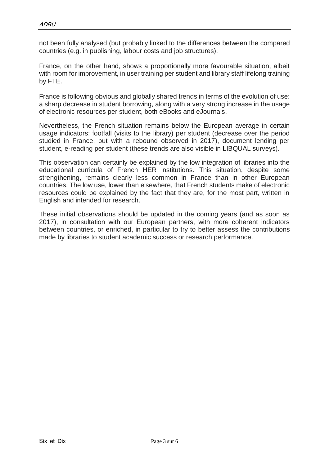not been fully analysed (but probably linked to the differences between the compared countries (e.g. in publishing, labour costs and job structures).

France, on the other hand, shows a proportionally more favourable situation, albeit with room for improvement, in user training per student and library staff lifelong training by FTE.

France is following obvious and globally shared trends in terms of the evolution of use: a sharp decrease in student borrowing, along with a very strong increase in the usage of electronic resources per student, both eBooks and eJournals.

Nevertheless, the French situation remains below the European average in certain usage indicators: footfall (visits to the library) per student (decrease over the period studied in France, but with a rebound observed in 2017), document lending per student, e-reading per student (these trends are also visible in LIBQUAL surveys).

This observation can certainly be explained by the low integration of libraries into the educational curricula of French HER institutions. This situation, despite some strengthening, remains clearly less common in France than in other European countries. The low use, lower than elsewhere, that French students make of electronic resources could be explained by the fact that they are, for the most part, written in English and intended for research.

These initial observations should be updated in the coming years (and as soon as 2017), in consultation with our European partners, with more coherent indicators between countries, or enriched, in particular to try to better assess the contributions made by libraries to student academic success or research performance.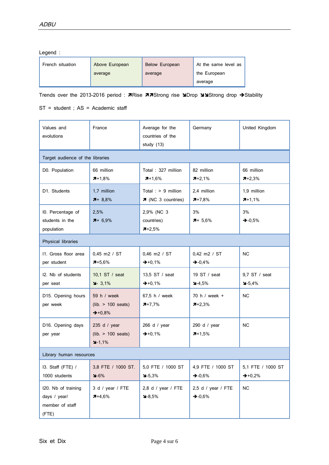Legend :

| French situation | Above European | <b>Below European</b> | At the same level as |
|------------------|----------------|-----------------------|----------------------|
|                  | average        | average               | the European         |
|                  |                |                       | average              |

Trends over the 2013-2016 period : 7Rise 77Strong rise NDrop NNStrong drop → Stability

ST = student ; AS = Academic staff

| Values and<br>evolutions                                        | France                                                             | Average for the<br>countries of the<br>study $(13)$ | Germany                              | United Kingdom                           |  |
|-----------------------------------------------------------------|--------------------------------------------------------------------|-----------------------------------------------------|--------------------------------------|------------------------------------------|--|
| Target audience of the libraries                                |                                                                    |                                                     |                                      |                                          |  |
| D0. Population                                                  | 66 million<br>$7+1,8%$                                             | Total: 327 million<br>$7+1,6%$                      | 82 million<br>$7+2,1%$               | 66 million<br>$7+2,3%$                   |  |
| D1. Students                                                    | 1.7 million<br>$7 + 8,8%$                                          | Total : $> 9$ million<br>7 (NC 3 countries)         | 2,4 million<br>$7+7,8%$              | 1,9 million<br>$7+1,1%$                  |  |
| I0. Percentage of<br>students in the<br>population              | 2,5%<br>$7 + 6,9%$                                                 | 2,9% (NC 3<br>countries)<br>$7+2,5%$                | 3%<br>$7+5,6%$                       | 3%<br>$\div 0.5\%$                       |  |
| Physical libraries                                              |                                                                    |                                                     |                                      |                                          |  |
| 11. Gross floor area<br>per student                             | $0.45$ m2 / ST<br>$7 + 5,6%$                                       | 0,46 m2 / ST<br>$\rightarrow +0,1%$                 | 0,42 m2 / ST<br>$\rightarrow -0.4\%$ | <b>NC</b>                                |  |
| 12. Nb of students<br>per seat                                  | 10,1 ST / seat<br>$\blacktriangleright$ 3,1%                       | 13,5 ST / seat<br>$\rightarrow +0,1%$               | 19 ST / seat<br>$4-4,5%$             | 9,7 ST / seat<br>$3 - 5,4%$              |  |
| D15. Opening hours<br>per week                                  | 59 h / week<br>$(lib. > 100 \text{ seats})$<br>$\rightarrow +0,8%$ | 67,5 h / week<br>$7+7,7%$                           | 70 h / week +<br>$7+2,3%$            | <b>NC</b>                                |  |
| D16. Opening days<br>per year                                   | 235 d / year<br>$(lib. > 100 \text{ seats})$<br>$4 - 1,1%$         | 266 d / year<br>$\rightarrow +0,1%$                 | 290 d / year<br>$7+1,5%$             | <b>NC</b>                                |  |
| Library human resources                                         |                                                                    |                                                     |                                      |                                          |  |
| I3. Staff (FTE) /<br>1000 students                              | 3,8 FTE / 1000 ST.<br>$-6\%$                                       | 5,0 FTE / 1000 ST<br>$4-5.3%$                       | 4,9 FTE / 1000 ST<br>$-0.6%$         | 5,1 FTE / 1000 ST<br>$\rightarrow$ +0,2% |  |
| I20. Nb of training<br>days / year/<br>member of staff<br>(FTE) | 3 d / year / FTE<br>$7+4,6%$                                       | 2,8 d / year / FTE<br>$3-8,5%$                      | 2,5 d / year / FTE<br>$-0.6%$        | <b>NC</b>                                |  |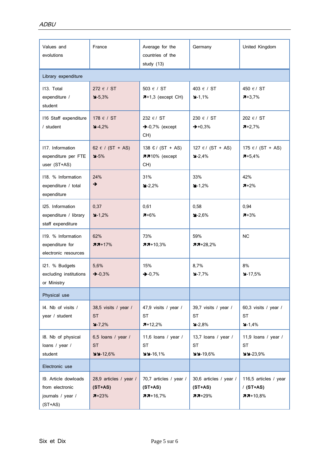| Values and<br>evolutions                                                  | France                                           | Average for the<br>countries of the<br>study (13)  | Germany                                         | United Kingdom                                     |
|---------------------------------------------------------------------------|--------------------------------------------------|----------------------------------------------------|-------------------------------------------------|----------------------------------------------------|
| Library expenditure                                                       |                                                  |                                                    |                                                 |                                                    |
| 113. Total<br>expenditure /<br>student                                    | 272 $\epsilon$ / ST<br>$9 - 5,3%$                | 503 $\epsilon$ / ST<br>$7+1,3$ (except CH)         | 403 € / ST<br>$3 - 1,1%$                        | 450 € / ST<br>$7 + 3,7%$                           |
| 116 Staff expenditure<br>/ student                                        | 178 € / ST<br>$4-4,2%$                           | 232 €/ ST<br>$\rightarrow$ -0,7% (except<br>CH)    | 230 € / ST<br>$\rightarrow +0.3%$               | 202 € / ST<br>$7+2.7%$                             |
| 117. Information<br>expenditure per FTE<br>user (ST+AS)                   | 62 € / (ST + AS)<br>$4-5%$                       | 138 $E / (ST + AS)$<br><b>7710%</b> (except<br>CH) | 127 € / (ST + AS)<br>$-2,4%$                    | 175 $€$ / (ST + AS)<br>$7 + 5.4%$                  |
| 118. % Information<br>expenditure / total<br>expenditure                  | 24%<br>→                                         | 31%<br>$-2,2%$                                     | 33%<br>$-1,2%$                                  | 42%<br>$7+2%$                                      |
| 125. Information<br>expenditure / library<br>staff expenditure            | 0,37<br>$-1,2%$                                  | 0,61<br>$7 + 6%$                                   | 0,58<br>$-2,6%$                                 | 0,94<br>$7 + 3%$                                   |
| 119. % Information<br>expenditure for<br>electronic resources             | 62%<br>$77+17%$                                  | 73%<br>$77+10,3%$                                  | 59%<br>$77+28,2%$                               | <b>NC</b>                                          |
| I21. % Budgets<br>excluding institutions<br>or Ministry                   | 5,6%<br>$\div 0.3\%$                             | 15%<br>$-0.7%$                                     | 8,7%<br>$3 - 7,7%$                              | 8%<br>$4-17,5%$                                    |
| Physical use                                                              |                                                  |                                                    |                                                 |                                                    |
| 14. Nb of visits /<br>year / student                                      | 38,5 visits / year /<br><b>ST</b><br>$-7,2%$     | 47,9 visits / year /<br>ST<br>$7+12,2%$            | 39,7 visits / year /<br><b>ST</b><br>$9 - 2,8%$ | 60,3 visits / year /<br><b>ST</b><br>$-1,4%$       |
| 18. Nb of physical<br>loans / year /<br>student                           | 6,5 loans / year /<br><b>ST</b><br>$44-12,6%$    | 11,6 loans / year /<br><b>ST</b><br>$44-16,1%$     | 13,7 loans / year /<br><b>ST</b><br>$44-19,6\%$ | 11,9 loans / year /<br><b>ST</b><br>$44-23,9%$     |
| Electronic use                                                            |                                                  |                                                    |                                                 |                                                    |
| 19. Article dowloads<br>from electronic<br>journals / year /<br>$(ST+AS)$ | 28,9 articles / year /<br>$(ST+AS)$<br>$7 + 23%$ | 70,7 articles / year /<br>$(ST+AS)$<br>$77+16,7%$  | 30,6 articles / year /<br>$(ST+AS)$<br>$77+29%$ | 116,5 articles / year<br>$/$ (ST+AS)<br>$77+10,8%$ |